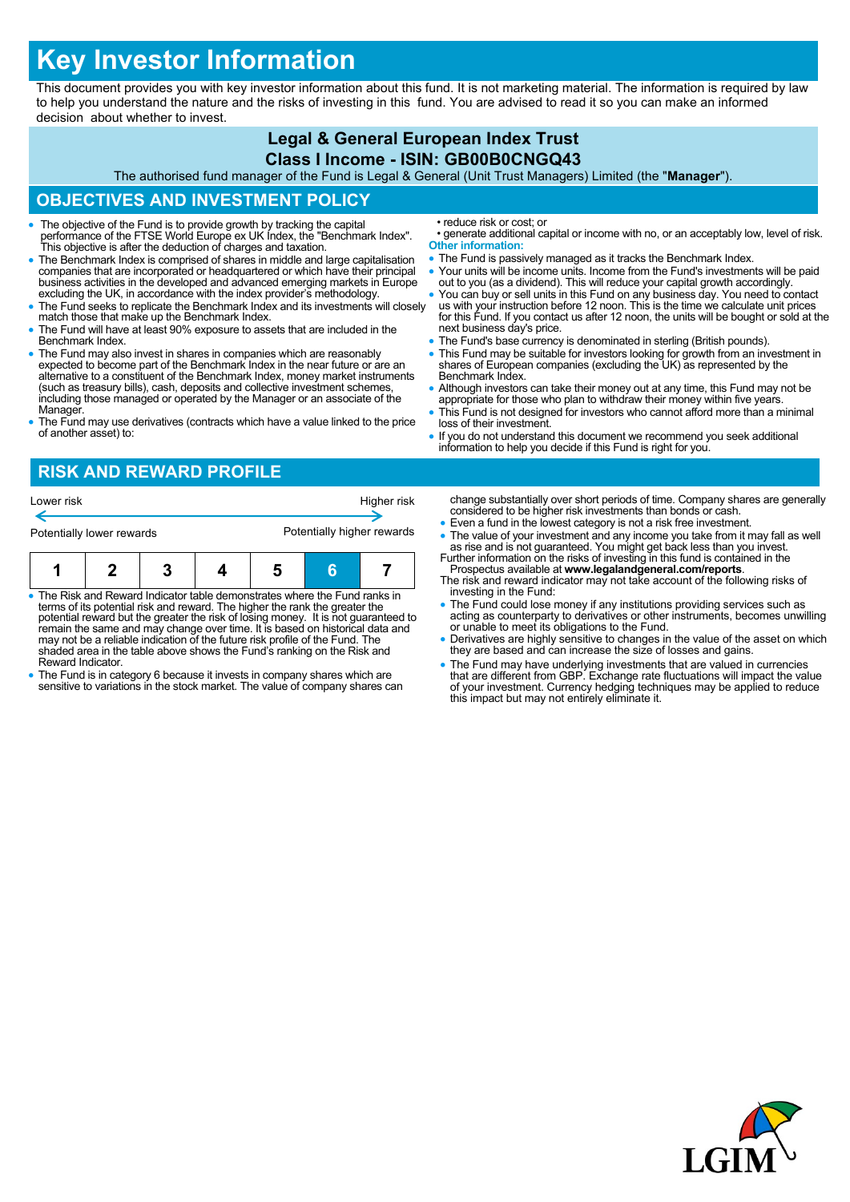# **Key Investor Information**

This document provides you with key investor information about this fund. It is not marketing material. The information is required by law to help you understand the nature and the risks of investing in this fund. You are advised to read it so you can make an informed decision about whether to invest.

#### **Legal & General European Index Trust Class I Income - ISIN: GB00B0CNGQ43** The authorised fund manager of the Fund is Legal & General (Unit Trust Managers) Limited (the "**Manager**"). **OBJECTIVES AND INVESTMENT POLICY** The objective of the Fund is to provide growth by tracking the capital performance of the FTSE World Europe ex UK Index, the "Benchmark Index". This objective is after the deduction of charges and taxation. The Benchmark Index is comprised of shares in middle and large capitalisation companies that are incorporated or headquartered or which have their principal business activities in the developed and advanced emerging markets in Europe excluding the UK, in accordance with the index provider's methodology. • The Fund seeks to replicate the Benchmark Index and its investments will closely match those that make up the Benchmark Index. The Fund will have at least 90% exposure to assets that are included in the Benchmark Index. The Fund may also invest in shares in companies which are reasonably expected to become part of the Benchmark Index in the near future or are an alternative to a constituent of the Benchmark Index, money market instruments (such as treasury bills), cash, deposits and collective investment schemes, including those managed or operated by the Manager or an associate of the Manager. The Fund may use derivatives (contracts which have a value linked to the price of another asset) to: • reduce risk or cost; or • generate additional capital or income with no, or an acceptably low, level of risk. **Other information:** • The Fund is passively managed as it tracks the Benchmark Index. Your units will be income units. Income from the Fund's investments will be paid out to you (as a dividend). This will reduce your capital growth accordingly. You can buy or sell units in this Fund on any business day. You need to contact us with your instruction before 12 noon. This is the time we calculate unit prices for this Fund. If you contact us after 12 noon, the units will be bought or sold at the next business day's price. • The Fund's base currency is denominated in sterling (British pounds). This Fund may be suitable for investors looking for growth from an investment in shares of European companies (excluding the UK) as represented by the Benchmark Index. • Although investors can take their money out at any time, this Fund may not be appropriate for those who plan to withdraw their money within five years. This Fund is not designed for investors who cannot afford more than a minimal loss of their investment. If you do not understand this document we recommend you seek additional information to help you decide if this Fund is right for you. **RISK AND REWARD PROFILE** change substantially over short periods of time. Company shares are generally considered to be higher risk investments than bonds or cash. Even a fund in the lowest category is not a risk free investment. • The value of your investment and any income you take from it may fall as well as rise and is not guaranteed. You might get back less than you invest. Further information on the risks of investing in this fund is contained in the Lower risk **Higher risk** Potentially lower rewards **Potentially higher rewards**

- The Risk and Reward Indicator table demonstrates where the Fund ranks in terms of its potential risk and reward. The higher the rank the greater the potential reward but the greater the risk of losing money. It is not guaranteed to remain the same and may change over time. It is based on historical data and may not be a reliable indication of the future risk profile of the Fund. The **1 2 3 4 5 6 7**
- shaded area in the table above shows the Fund's ranking on the Risk and Reward Indicator. The Fund is in category 6 because it invests in company shares which are
- sensitive to variations in the stock market. The value of company shares can
- Prospectus available at **www.legalandgeneral.com/reports**. The risk and reward indicator may not take account of the following risks of
- investing in the Fund:
- The Fund could lose money if any institutions providing services such as acting as counterparty to derivatives or other instruments, becomes unwilling or unable to meet its obligations to the Fund.
- Derivatives are highly sensitive to changes in the value of the asset on which they are based and can increase the size of losses and gains.
- The Fund may have underlying investments that are valued in currencies that are different from GBP. Exchange rate fluctuations will impact the value of your investment. Currency hedging techniques may be applied to reduce this impact but may not entirely eliminate it.